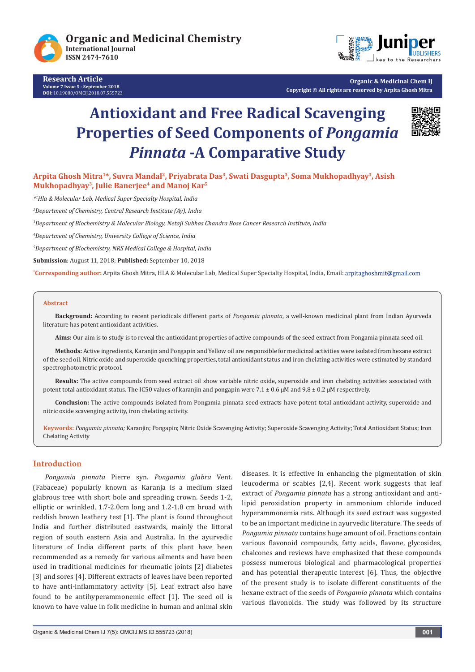





**Organic & Medicinal Chem IJ Copyright © All rights are reserved by Arpita Ghosh Mitra**

# **Antioxidant and Free Radical Scavenging Properties of Seed Components of** *Pongamia Pinnata* **-A Comparative Study**



**Arpita Ghosh Mitra1\*, Suvra Mandal2, Priyabrata Das3, Swati Dasgupta3, Soma Mukhopadhyay3, Asish**  Mukhopadhyay<sup>3</sup>, Julie Banerjee<sup>4</sup> and Manoj Kar<sup>5</sup>

*\*1 Hla & Molecular Lab, Medical Super Specialty Hospital, India*

*2 Department of Chemistry, Central Research Institute (Ay), India*

*3 Department of Biochemistry & Molecular Biology, Netaji Subhas Chandra Bose Cancer Research Institute, India*

*4 Department of Chemistry, University College of Science, India*

*5 Department of Biochemistry, NRS Medical College & Hospital, India*

**Submission**: August 11, 2018; **Published:** September 10, 2018

**\* Corresponding author:** Arpita Ghosh Mitra, HLA & Molecular Lab, Medical Super Specialty Hospital, India, Email:

#### **Abstract**

**Background:** According to recent periodicals different parts of *Pongamia pinnata*, a well-known medicinal plant from Indian Ayurveda literature has potent antioxidant activities.

**Aims:** Our aim is to study is to reveal the antioxidant properties of active compounds of the seed extract from Pongamia pinnata seed oil.

**Methods:** Active ingredients, Karanjin and Pongapin and Yellow oil are responsible for medicinal activities were isolated from hexane extract of the seed oil. Nitric oxide and superoxide quenching properties, total antioxidant status and iron chelating activities were estimated by standard spectrophotometric protocol.

**Results:** The active compounds from seed extract oil show variable nitric oxide, superoxide and iron chelating activities associated with potent total antioxidant status. The IC50 values of karanjin and pongapin were 7.1  $\pm$  0.6  $\mu$ M and 9.8  $\pm$  0.2  $\mu$ M respectively.

**Conclusion:** The active compounds isolated from Pongamia pinnata seed extracts have potent total antioxidant activity, superoxide and nitric oxide scavenging activity, iron chelating activity.

**Keywords:** *Pongamia pinnata;* Karanjin; Pongapin; Nitric Oxide Scavenging Activity; Superoxide Scavenging Activity; Total Antioxidant Status; Iron Chelating Activity

## **Introduction**

*Pongamia pinnata* Pierre syn. *Pongamia glabra* Vent. (Fabaceae) popularly known as Karanja is a medium sized glabrous tree with short bole and spreading crown. Seeds 1-2, elliptic or wrinkled, 1.7-2.0cm long and 1.2-1.8 cm broad with reddish brown leathery test [1]. The plant is found throughout India and further distributed eastwards, mainly the littoral region of south eastern Asia and Australia. In the ayurvedic literature of India different parts of this plant have been recommended as a remedy for various ailments and have been used in traditional medicines for rheumatic joints [2] diabetes [3] and sores [4]. Different extracts of leaves have been reported to have anti-inflammatory activity [5]. Leaf extract also have found to be antihyperammonemic effect [1]. The seed oil is known to have value in folk medicine in human and animal skin

diseases. It is effective in enhancing the pigmentation of skin leucoderma or scabies [2,4]. Recent work suggests that leaf extract of *Pongamia pinnata* has a strong antioxidant and antilipid peroxidation property in ammonium chloride induced hyperammonemia rats. Although its seed extract was suggested to be an important medicine in ayurvedic literature. The seeds of *Pongamia pinnata* contains huge amount of oil. Fractions contain various flavonoid compounds, fatty acids, flavone, glycosides, chalcones and reviews have emphasized that these compounds possess numerous biological and pharmacological properties and has potential therapeutic interest [6]. Thus, the objective of the present study is to isolate different constituents of the hexane extract of the seeds of *Pongamia pinnata* which contains various flavonoids. The study was followed by its structure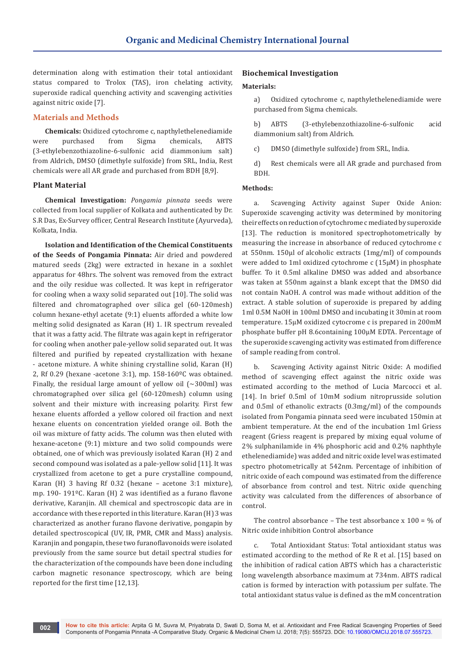determination along with estimation their total antioxidant status compared to Trolox (TAS), iron chelating activity, superoxide radical quenching activity and scavenging activities against nitric oxide [7].

# **Materials and Methods**

**Chemicals:** Oxidized cytochrome c, napthylethelenediamide were purchased from Sigma chemicals, ABTS (3-ethylebenzothiazoline-6-sulfonic acid diammonium salt) from Aldrich, DMSO (dimethyle sulfoxide) from SRL, India, Rest chemicals were all AR grade and purchased from BDH [8,9].

### **Plant Material**

**Chemical Investigation:** *Pongamia pinnata* seeds were collected from local supplier of Kolkata and authenticated by Dr. S.R Das, Ex-Survey officer, Central Research Institute (Ayurveda), Kolkata, India.

**Isolation and Identification of the Chemical Constituents of the Seeds of Pongamia Pinnata:** Air dried and powdered matured seeds (2kg) were extracted in hexane in a soxhlet apparatus for 48hrs. The solvent was removed from the extract and the oily residue was collected. It was kept in refrigerator for cooling when a waxy solid separated out [10]. The solid was filtered and chromatographed over silica gel (60-120mesh) column hexane-ethyl acetate (9:1) eluents afforded a white low melting solid designated as Karan (H) 1. IR spectrum revealed that it was a fatty acid. The filtrate was again kept in refrigerator for cooling when another pale-yellow solid separated out. It was filtered and purified by repeated crystallization with hexane - acetone mixture. A white shining crystalline solid, Karan (H) 2, Rf 0.29 (hexane -acetone 3:1), mp. 158-160ºC was obtained. Finally, the residual large amount of yellow oil  $(\sim 300$ ml) was chromatographed over silica gel (60-120mesh) column using solvent and their mixture with increasing polarity. First few hexane eluents afforded a yellow colored oil fraction and next hexane eluents on concentration yielded orange oil. Both the oil was mixture of fatty acids. The column was then eluted with hexane-acetone (9:1) mixture and two solid compounds were obtained, one of which was previously isolated Karan (H) 2 and second compound was isolated as a pale-yellow solid [11]. It was crystallized from acetone to get a pure crystalline compound, Karan (H) 3 having Rf 0.32 (hexane – acetone 3:1 mixture), mp. 190- 191ºC. Karan (H) 2 was identified as a furano flavone derivative, Karanjin. All chemical and spectroscopic data are in accordance with these reported in this literature. Karan (H) 3 was characterized as another furano flavone derivative, pongapin by detailed spectroscopical (UV, IR, PMR, CMR and Mass) analysis. Karanjin and pongapin, these two furanoflavonoids were isolated previously from the same source but detail spectral studies for the characterization of the compounds have been done including carbon magnetic resonance spectroscopy, which are being reported for the first time [12,13].

# **Biochemical Investigation**

#### **Materials:**

a) Oxidized cytochrome c, napthylethelenediamide were purchased from Sigma chemicals.

b) ABTS (3-ethylebenzothiazoline-6-sulfonic acid diammonium salt) from Aldrich.

- c) DMSO (dimethyle sulfoxide) from SRL, India.
- d) Rest chemicals were all AR grade and purchased from BDH.

## **Methods:**

a. Scavenging Activity against Super Oxide Anion: Superoxide scavenging activity was determined by monitoring their effects on reduction of cytochrome c mediated by superoxide [13]. The reduction is monitored spectrophotometrically by measuring the increase in absorbance of reduced cytochrome c at 550nm. 150μl of alcoholic extracts (1mg/ml) of compounds were added to 1ml oxidized cytochrome c (15μM) in phosphate buffer. To it 0.5ml alkaline DMSO was added and absorbance was taken at 550nm against a blank except that the DMSO did not contain NaOH. A control was made without addition of the extract. A stable solution of superoxide is prepared by adding 1ml 0.5M NaOH in 100ml DMSO and incubating it 30min at room temperature. 15μM oxidized cytocrome c is prepared in 200mM phosphate buffer pH 8.6containing 100μM EDTA. Percentage of the superoxide scavenging activity was estimated from difference of sample reading from control.

b. Scavenging Activity against Nitric Oxide: A modified method of scavenging effect against the nitric oxide was estimated according to the method of Lucia Marcocci et al. [14]. In brief 0.5ml of 10mM sodium nitroprusside solution and 0.5ml of ethanolic extracts (0.3mg/ml) of the compounds isolated from Pongamia pinnata seed were incubated 150min at ambient temperature. At the end of the incubation 1ml Griess reagent (Griess reagent is prepared by mixing equal volume of 2% sulphanilamide in 4% phosphoric acid and 0.2% naphthyle ethelenediamide) was added and nitric oxide level was estimated spectro photometrically at 542nm. Percentage of inhibition of nitric oxide of each compound was estimated from the difference of absorbance from control and test. Nitric oxide quenching activity was calculated from the differences of absorbance of control.

The control absorbance – The test absorbance x  $100 = \%$  of Nitric oxide inhibition Control absorbance

c. Total Antioxidant Status: Total antioxidant status was estimated according to the method of Re R et al. [15] based on the inhibition of radical cation ABTS which has a characteristic long wavelength absorbance maximum at 734nm. ABTS radical cation is formed by interaction with potassium per sulfate. The total antioxidant status value is defined as the mM concentration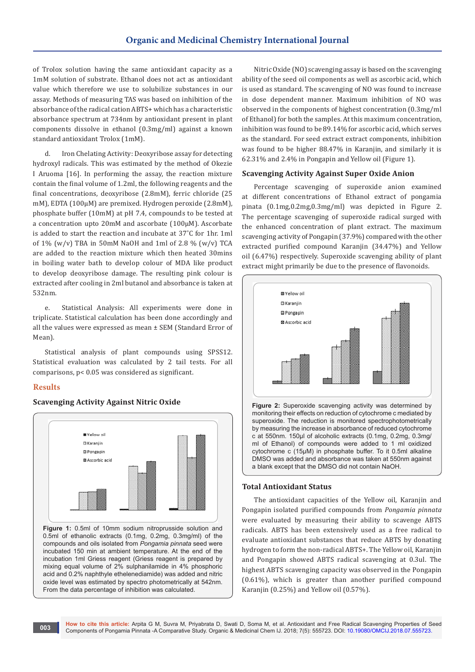of Trolox solution having the same antioxidant capacity as a 1mM solution of substrate. Ethanol does not act as antioxidant value which therefore we use to solubilize substances in our assay. Methods of measuring TAS was based on inhibition of the absorbance of the radical cation ABTS+ which has a characteristic absorbance spectrum at 734nm by antioxidant present in plant components dissolve in ethanol (0.3mg/ml) against a known standard antioxidant Trolox (1mM).

d. Iron Chelating Activity: Deoxyribose assay for detecting hydroxyl radicals. This was estimated by the method of Okezie I Aruoma [16]. In performing the assay, the reaction mixture contain the final volume of 1.2ml, the following reagents and the final concentrations, deoxyribose (2.8mM), ferric chloride (25 mM), EDTA (100µM) are premixed. Hydrogen peroxide (2.8mM), phosphate buffer (10mM) at pH 7.4, compounds to be tested at a concentration upto 20mM and ascorbate (100µM). Ascorbate is added to start the reaction and incubate at 37˚C for 1hr. 1ml of 1% (w/v) TBA in 50mM NaOH and 1ml of 2.8 % (w/v) TCA are added to the reaction mixture which then heated 30mins in boiling water bath to develop colour of MDA like product to develop deoxyribose damage. The resulting pink colour is extracted after cooling in 2ml butanol and absorbance is taken at 532nm.

e. Statistical Analysis: All experiments were done in triplicate. Statistical calculation has been done accordingly and all the values were expressed as mean ± SEM (Standard Error of Mean).

Statistical analysis of plant compounds using SPSS12. Statistical evaluation was calculated by 2 tail tests. For all comparisons, p< 0.05 was considered as significant.

# **Results**



From the data percentage of inhibition was calculated.

## **Scavenging Activity Against Nitric Oxide**

Nitric Oxide (NO) scavenging assay is based on the scavenging ability of the seed oil components as well as ascorbic acid, which is used as standard. The scavenging of NO was found to increase in dose dependent manner. Maximum inhibition of NO was observed in the components of highest concentration (0.3mg/ml of Ethanol) for both the samples. At this maximum concentration, inhibition was found to be 89.14% for ascorbic acid, which serves as the standard. For seed extract extract components, inhibition was found to be higher 88.47% in Karanjin, and similarly it is 62.31% and 2.4% in Pongapin and Yellow oil (Figure 1).

# **Scavenging Activity Against Super Oxide Anion**

Percentage scavenging of superoxide anion examined at different concentrations of Ethanol extract of pongamia pinata (0.1mg,0.2mg,0.3mg/ml) was depicted in Figure 2. The percentage scavenging of superoxide radical surged with the enhanced concentration of plant extract. The maximum scavenging activity of Pongapin (37.9%) compared with the other extracted purified compound Karanjin (34.47%) and Yellow oil (6.47%) respectively. Superoxide scavenging ability of plant extract might primarily be due to the presence of flavonoids.



#### **Total Antioxidant Status**

The antioxidant capacities of the Yellow oil, Karanjin and Pongapin isolated purified compounds from *Pongamia pinnata*  were evaluated by measuring their ability to scavenge ABTS radicals. ABTS has been extensively used as a free radical to evaluate antioxidant substances that reduce ABTS by donating hydrogen to form the non-radical ABTS+. The Yellow oil, Karanjin and Pongapin showed ABTS radical scavenging at 0.3ul. The highest ABTS scavenging capacity was observed in the Pongapin (0.61%), which is greater than another purified compound Karanjin (0.25%) and Yellow oil (0.57%).

a blank except that the DMSO did not contain NaOH.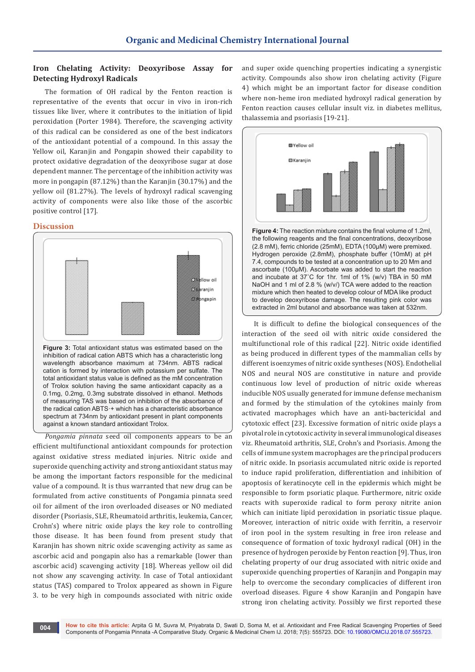# **Iron Chelating Activity: Deoxyribose Assay for Detecting Hydroxyl Radicals**

The formation of OH radical by the Fenton reaction is representative of the events that occur in vivo in iron-rich tissues like liver, where it contributes to the initiation of lipid peroxidation (Porter 1984). Therefore, the scavenging activity of this radical can be considered as one of the best indicators of the antioxidant potential of a compound. In this assay the Yellow oil, Karanjin and Pongapin showed their capability to protect oxidative degradation of the deoxyribose sugar at dose dependent manner. The percentage of the inhibition activity was more in pongapin (87.12%) than the Karanjin (30.17%) and the yellow oil (81.27%). The levels of hydroxyl radical scavenging activity of components were also like those of the ascorbic positive control [17].

## **Discussion**



wavelength absorbance maximum at 734nm. ABTS radical cation is formed by interaction with potassium per sulfate. The total antioxidant status value is defined as the mM concentration of Trolox solution having the same antioxidant capacity as a 0.1mg, 0.2mg, 0.3mg substrate dissolved in ethanol. Methods of measuring TAS was based on inhibition of the absorbance of the radical cation ABTS·+ which has a characteristic absorbance spectrum at 734nm by antioxidant present in plant components against a known standard antioxidant Trolox.

*Pongamia pinnata* seed oil components appears to be an efficient multifunctional antioxidant compounds for protection against oxidative stress mediated injuries. Nitric oxide and superoxide quenching activity and strong antioxidant status may be among the important factors responsible for the medicinal value of a compound. It is thus warranted that new drug can be formulated from active constituents of Pongamia pinnata seed oil for ailment of the iron overloaded diseases or NO mediated disorder (Psoriasis, SLE, Rheumatoid arthritis, leukemia, Cancer, Crohn's) where nitric oxide plays the key role to controlling those disease. It has been found from present study that Karanjin has shown nitric oxide scavenging activity as same as ascorbic acid and pongapin also has a remarkable (lower than ascorbic acid) scavenging activity [18]. Whereas yellow oil did not show any scavenging activity. In case of Total antioxidant status (TAS) compared to Trolox appeared as shown in Figure 3. to be very high in compounds associated with nitric oxide

and super oxide quenching properties indicating a synergistic activity. Compounds also show iron chelating activity (Figure 4) which might be an important factor for disease condition where non-heme iron mediated hydroxyl radical generation by Fenton reaction causes cellular insult viz. in diabetes mellitus, thalassemia and psoriasis [19-21].



**Figure 4:** The reaction mixture contains the final volume of 1.2ml, the following reagents and the final concentrations, deoxyribose (2.8 mM), ferric chloride (25mM), EDTA (100µM) were premixed. Hydrogen peroxide (2.8mM), phosphate buffer (10mM) at pH 7.4, compounds to be tested at a concentration up to 20 Mm and ascorbate (100µM). Ascorbate was added to start the reaction and incubate at 37˚C for 1hr. 1ml of 1% (w/v) TBA in 50 mM NaOH and 1 ml of 2.8 % (w/v/) TCA were added to the reaction mixture which then heated to develop colour of MDA like product to develop deoxyribose damage. The resulting pink color was extracted in 2ml butanol and absorbance was taken at 532nm.

It is difficult to define the biological consequences of the interaction of the seed oil with nitric oxide considered the multifunctional role of this radical [22]. Nitric oxide identified as being produced in different types of the mammalian cells by different isoenzymes of nitric oxide syntheses (NOS). Endothelial NOS and neural NOS are constitutive in nature and provide continuous low level of production of nitric oxide whereas inducible NOS usually generated for immune defense mechanism and formed by the stimulation of the cytokines mainly from activated macrophages which have an anti-bactericidal and cytotoxic effect [23]. Excessive formation of nitric oxide plays a pivotal role in cytotoxic activity in several immunological diseases viz. Rheumatoid arthritis, SLE, Crohn's and Psoriasis. Among the cells of immune system macrophages are the principal producers of nitric oxide. In psoriasis accumulated nitric oxide is reported to induce rapid proliferation, differentiation and inhibition of apoptosis of keratinocyte cell in the epidermis which might be responsible to form psoriatic plaque. Furthermore, nitric oxide reacts with superoxide radical to form peroxy nitrite anion which can initiate lipid peroxidation in psoriatic tissue plaque. Moreover, interaction of nitric oxide with ferritin, a reservoir of iron pool in the system resulting in free iron release and consequence of formation of toxic hydroxyl radical (OH) in the presence of hydrogen peroxide by Fenton reaction [9]. Thus, iron chelating property of our drug associated with nitric oxide and superoxide quenching properties of Karanjin and Pongapin may help to overcome the secondary complicacies of different iron overload diseases. Figure 4 show Karanjin and Pongapin have strong iron chelating activity. Possibly we first reported these